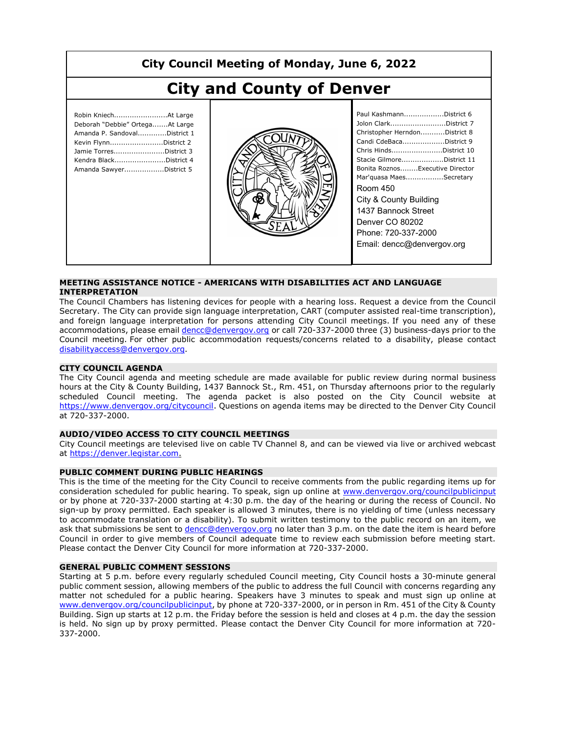# **City Council Meeting of Monday, June 6, 2022**

# **City and County of Denver**

| Robin KniechAt Large<br>Deborah "Debbie" OrtegaAt Large<br>Amanda P. SandovalDistrict 1<br>Kevin FlynnDistrict 2<br>Jamie TorresDistrict 3<br>Kendra BlackDistrict 4<br>Amanda SawyerDistrict 5 |  |
|-------------------------------------------------------------------------------------------------------------------------------------------------------------------------------------------------|--|
|                                                                                                                                                                                                 |  |



| Paul KashmannDistrict 6         |
|---------------------------------|
| Jolon ClarkDistrict 7           |
| Christopher HerndonDistrict 8   |
| Candi CdeBacaDistrict 9         |
| Chris HindsDistrict 10          |
| Stacie GilmoreDistrict 11       |
| Bonita RoznosExecutive Director |
| Mar'quasa MaesSecretary         |
| Room 450                        |
| City & County Building          |
| 1437 Bannock Street             |
| Denver CO 80202                 |
| Phone: 720-337-2000             |
| Email: dencc@denvergov.org      |
|                                 |

#### **MEETING ASSISTANCE NOTICE - AMERICANS WITH DISABILITIES ACT AND LANGUAGE INTERPRETATION**

The Council Chambers has listening devices for people with a hearing loss. Request a device from the Council Secretary. The City can provide sign language interpretation, CART (computer assisted real-time transcription), and foreign language interpretation for persons attending City Council meetings. If you need any of these accommodations, please email dencc@denvergov.org or call 720-337-2000 three (3) business-days prior to the Council meeting. For other public accommodation requests/concerns related to a disability, please contact disabilityaccess@denvergov.org.

#### **CITY COUNCIL AGENDA**

The City Council agenda and meeting schedule are made available for public review during normal business hours at the City & County Building, 1437 Bannock St., Rm. 451, on Thursday afternoons prior to the regularly scheduled Council meeting. The agenda packet is also posted on the City Council website at https://www.denvergov.org/citycouncil. Questions on agenda items may be directed to the Denver City Council at 720-337-2000.

#### **AUDIO/VIDEO ACCESS TO CITY COUNCIL MEETINGS**

City Council meetings are televised live on cable TV Channel 8, and can be viewed via live or archived webcast at https://denver.legistar.com.

#### **PUBLIC COMMENT DURING PUBLIC HEARINGS**

This is the time of the meeting for the City Council to receive comments from the public regarding items up for consideration scheduled for public hearing. To speak, sign up online at www.denvergov.org/councilpublicinput or by phone at 720-337-2000 starting at 4:30 p.m. the day of the hearing or during the recess of Council. No sign-up by proxy permitted. Each speaker is allowed 3 minutes, there is no yielding of time (unless necessary to accommodate translation or a disability). To submit written testimony to the public record on an item, we ask that submissions be sent to dencc@denvergov.org no later than 3 p.m. on the date the item is heard before Council in order to give members of Council adequate time to review each submission before meeting start. Please contact the Denver City Council for more information at 720-337-2000.

#### **GENERAL PUBLIC COMMENT SESSIONS**

Starting at 5 p.m. before every regularly scheduled Council meeting, City Council hosts a 30-minute general public comment session, allowing members of the public to address the full Council with concerns regarding any matter not scheduled for a public hearing. Speakers have 3 minutes to speak and must sign up online at www.denvergov.org/councilpublicinput, by phone at 720-337-2000, or in person in Rm. 451 of the City & County Building. Sign up starts at 12 p.m. the Friday before the session is held and closes at 4 p.m. the day the session is held. No sign up by proxy permitted. Please contact the Denver City Council for more information at 720- 337-2000.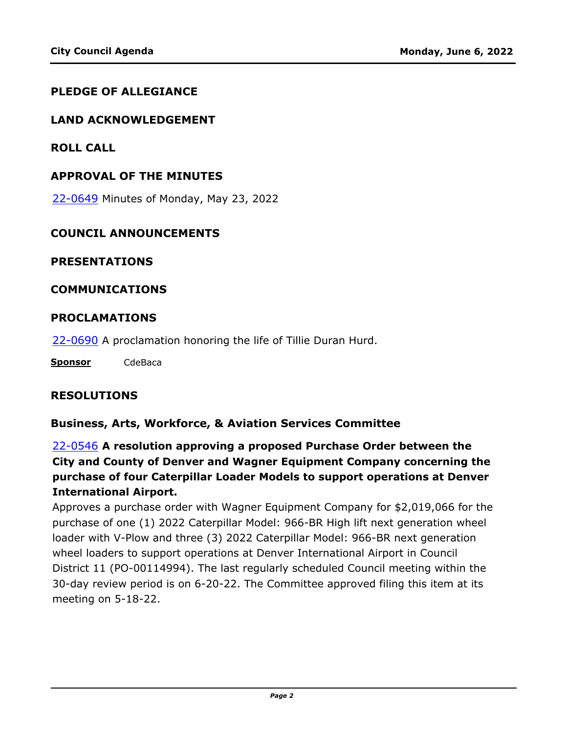#### **PLEDGE OF ALLEGIANCE**

#### **LAND ACKNOWLEDGEMENT**

**ROLL CALL**

#### **APPROVAL OF THE MINUTES**

22-0649 [Minutes of Monday, May 23, 2022](http://denver.legistar.com/gateway.aspx?m=l&id=/matter.aspx?key=21716)

#### **COUNCIL ANNOUNCEMENTS**

#### **PRESENTATIONS**

#### **COMMUNICATIONS**

#### **PROCLAMATIONS**

22-0690 [A proclamation honoring the life of Tillie Duran Hurd.](http://denver.legistar.com/gateway.aspx?m=l&id=/matter.aspx?key=21757)

**Sponsor** CdeBaca

#### **RESOLUTIONS**

#### **Business, Arts, Workforce, & Aviation Services Committee**

22-0546 **A resolution approving a proposed Purchase Order between the City and County of Denver and Wagner Equipment Company concerning the purchase of four Caterpillar Loader Models to support operations at Denver International Airport.**

[Approves a purchase order with Wagner Equipment Company for \\$2,019,066 for the](http://denver.legistar.com/gateway.aspx?m=l&id=/matter.aspx?key=21613)  purchase of one (1) 2022 Caterpillar Model: 966-BR High lift next generation wheel loader with V-Plow and three (3) 2022 Caterpillar Model: 966-BR next generation wheel loaders to support operations at Denver International Airport in Council District 11 (PO-00114994). The last regularly scheduled Council meeting within the 30-day review period is on 6-20-22. The Committee approved filing this item at its meeting on 5-18-22.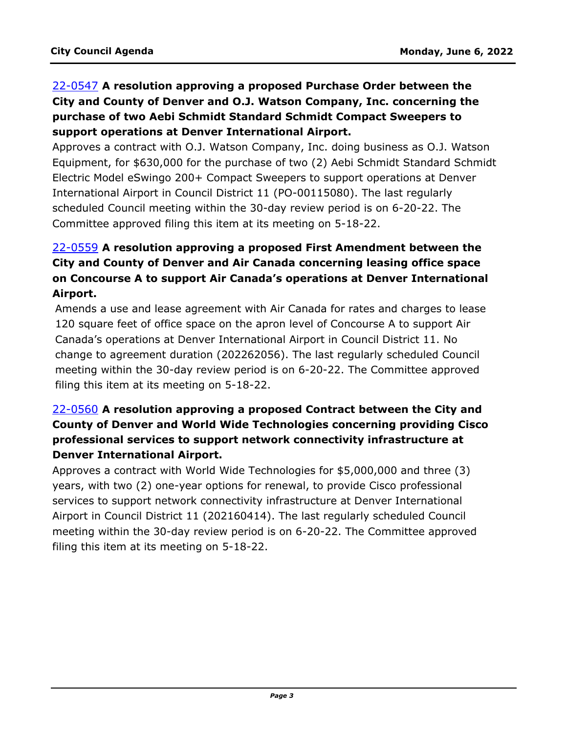# 22-0547 **A resolution approving a proposed Purchase Order between the City and County of Denver and O.J. Watson Company, Inc. concerning the purchase of two Aebi Schmidt Standard Schmidt Compact Sweepers to support operations at Denver International Airport.**

Approves a contract with O.J. Watson Company, Inc. doing business as O.J. Watson [Equipment, for \\$630,000 for the purchase of two \(2\) Aebi Schmidt Standard Schmidt](http://denver.legistar.com/gateway.aspx?m=l&id=/matter.aspx?key=21614)  Electric Model eSwingo 200+ Compact Sweepers to support operations at Denver International Airport in Council District 11 (PO-00115080). The last regularly scheduled Council meeting within the 30-day review period is on 6-20-22. The Committee approved filing this item at its meeting on 5-18-22.

# 22-0559 **A resolution approving a proposed First Amendment between the City and County of Denver and Air Canada concerning leasing office space [on Concourse A to support Air Canada's operations at Denver International](http://denver.legistar.com/gateway.aspx?m=l&id=/matter.aspx?key=21626)  Airport.**

Amends a use and lease agreement with Air Canada for rates and charges to lease 120 square feet of office space on the apron level of Concourse A to support Air Canada's operations at Denver International Airport in Council District 11. No change to agreement duration (202262056). The last regularly scheduled Council meeting within the 30-day review period is on 6-20-22. The Committee approved filing this item at its meeting on 5-18-22.

## 22-0560 **A resolution approving a proposed Contract between the City and [County of Denver and World Wide Technologies concerning providing Cisco](http://denver.legistar.com/gateway.aspx?m=l&id=/matter.aspx?key=21627)  professional services to support network connectivity infrastructure at Denver International Airport.**

Approves a contract with World Wide Technologies for \$5,000,000 and three (3) years, with two (2) one-year options for renewal, to provide Cisco professional services to support network connectivity infrastructure at Denver International Airport in Council District 11 (202160414). The last regularly scheduled Council meeting within the 30-day review period is on 6-20-22. The Committee approved filing this item at its meeting on 5-18-22.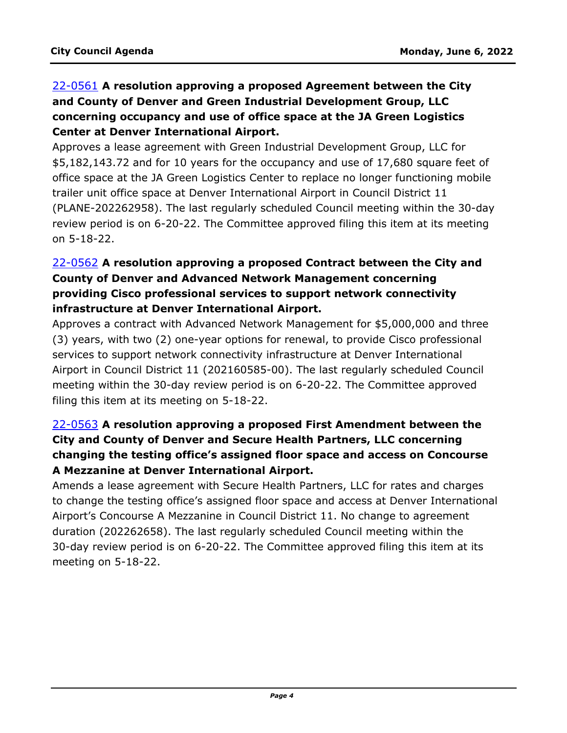# 22-0561 **A resolution approving a proposed Agreement between the City and County of Denver and Green Industrial Development Group, LLC concerning occupancy and use of office space at the JA Green Logistics Center at Denver International Airport.**

Approves a lease agreement with Green Industrial Development Group, LLC for \$5,182,143.72 and for 10 years for the occupancy and use of 17,680 square feet of office space at the JA Green Logistics Center to replace no longer functioning mobile trailer unit office space at Denver International Airport in Council District 11 [\(PLANE-202262958\). The last regularly scheduled Council meeting within the 30-day](http://denver.legistar.com/gateway.aspx?m=l&id=/matter.aspx?key=21628)  review period is on 6-20-22. The Committee approved filing this item at its meeting on 5-18-22.

## 22-0562 **A resolution approving a proposed Contract between the City and County of Denver and Advanced Network Management concerning providing Cisco professional services to support network connectivity infrastructure at Denver International Airport.**

[Approves a contract with Advanced Network Management for \\$5,000,000 and three](http://denver.legistar.com/gateway.aspx?m=l&id=/matter.aspx?key=21629)  (3) years, with two (2) one-year options for renewal, to provide Cisco professional services to support network connectivity infrastructure at Denver International Airport in Council District 11 (202160585-00). The last regularly scheduled Council meeting within the 30-day review period is on 6-20-22. The Committee approved filing this item at its meeting on 5-18-22.

## 22-0563 **A resolution approving a proposed First Amendment between the City and County of Denver and Secure Health Partners, LLC concerning changing the testing office's assigned floor space and access on Concourse A Mezzanine at Denver International Airport.**

Amends a lease agreement with Secure Health Partners, LLC for rates and charges [to change the testing office's assigned floor space and access at Denver International](http://denver.legistar.com/gateway.aspx?m=l&id=/matter.aspx?key=21630)  Airport's Concourse A Mezzanine in Council District 11. No change to agreement duration (202262658). The last regularly scheduled Council meeting within the 30-day review period is on 6-20-22. The Committee approved filing this item at its meeting on 5-18-22.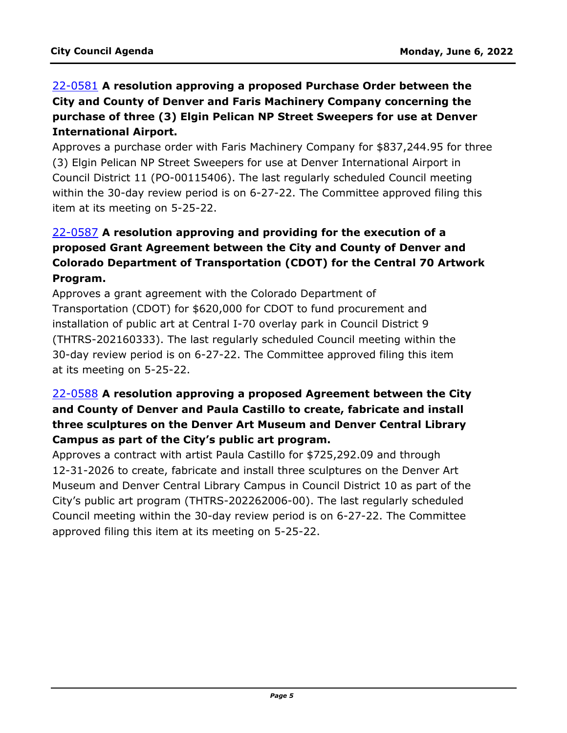## 22-0581 **A resolution approving a proposed Purchase Order between the City and County of Denver and Faris Machinery Company concerning the purchase of three (3) Elgin Pelican NP Street Sweepers for use at Denver International Airport.**

[Approves a purchase order with Faris Machinery Company for \\$837,244.95 for three](http://denver.legistar.com/gateway.aspx?m=l&id=/matter.aspx?key=21648)  (3) Elgin Pelican NP Street Sweepers for use at Denver International Airport in Council District 11 (PO-00115406). The last regularly scheduled Council meeting within the 30-day review period is on 6-27-22. The Committee approved filing this item at its meeting on 5-25-22.

# 22-0587 **A resolution approving and providing for the execution of a proposed Grant Agreement between the City and County of Denver and [Colorado Department of Transportation \(CDOT\) for the Central 70 Artwork](http://denver.legistar.com/gateway.aspx?m=l&id=/matter.aspx?key=21654)  Program.**

Approves a grant agreement with the Colorado Department of Transportation (CDOT) for \$620,000 for CDOT to fund procurement and installation of public art at Central I-70 overlay park in Council District 9 (THTRS-202160333). The last regularly scheduled Council meeting within the 30-day review period is on 6-27-22. The Committee approved filing this item at its meeting on 5-25-22.

## 22-0588 **A resolution approving a proposed Agreement between the City and County of Denver and Paula Castillo to create, fabricate and install three sculptures on the Denver Art Museum and Denver Central Library Campus as part of the City's public art program.**

Approves a contract with artist Paula Castillo for \$725,292.09 and through 12-31-2026 to create, fabricate and install three sculptures on the Denver Art [Museum and Denver Central Library Campus in Council District 10 as part of the](http://denver.legistar.com/gateway.aspx?m=l&id=/matter.aspx?key=21655)  City's public art program (THTRS-202262006-00). The last regularly scheduled Council meeting within the 30-day review period is on 6-27-22. The Committee approved filing this item at its meeting on 5-25-22.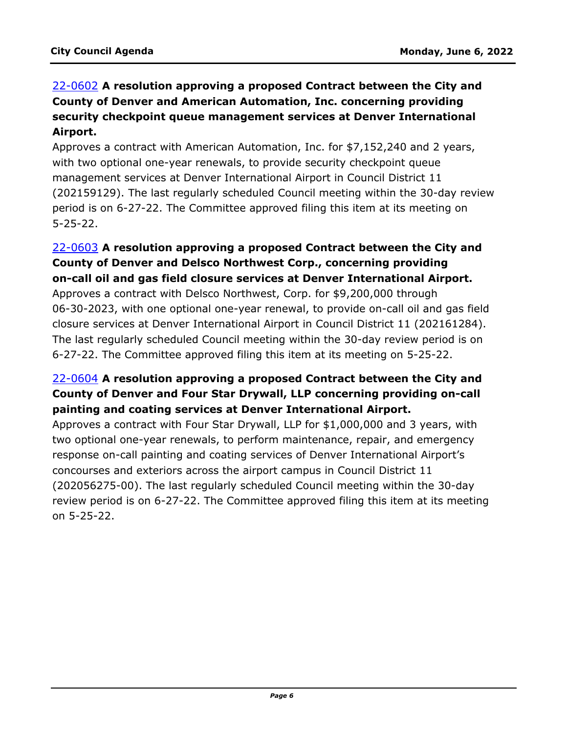## 22-0602 **A resolution approving a proposed Contract between the City and County of Denver and American Automation, Inc. concerning providing security checkpoint queue management services at Denver International Airport.**

Approves a contract with American Automation, Inc. for \$7,152,240 and 2 years, with two optional one-year renewals, to provide security checkpoint queue management services at Denver International Airport in Council District 11 [\(202159129\). The last regularly scheduled Council meeting within the 30-day review](http://denver.legistar.com/gateway.aspx?m=l&id=/matter.aspx?key=21669)  period is on 6-27-22. The Committee approved filing this item at its meeting on 5-25-22.

#### 22-0603 **A resolution approving a proposed Contract between the City and County of Denver and Delsco Northwest Corp., concerning providing on-call oil and gas field closure services at Denver International Airport.**

Approves a contract with Delsco Northwest, Corp. for \$9,200,000 through [06-30-2023, with one optional one-year renewal, to provide on-call oil and gas field](http://denver.legistar.com/gateway.aspx?m=l&id=/matter.aspx?key=21670)  closure services at Denver International Airport in Council District 11 (202161284). The last regularly scheduled Council meeting within the 30-day review period is on 6-27-22. The Committee approved filing this item at its meeting on 5-25-22.

## 22-0604 **A resolution approving a proposed Contract between the City and County of Denver and Four Star Drywall, LLP concerning providing on-call painting and coating services at Denver International Airport.**

Approves a contract with Four Star Drywall, LLP for \$1,000,000 and 3 years, with two optional one-year renewals, to perform maintenance, repair, and emergency response on-call painting and coating services of Denver International Airport's concourses and exteriors across the airport campus in Council District 11 (202056275-00). The last regularly scheduled Council meeting within the 30-day [review period is on 6-27-22. The Committee approved filing this item at its meeting](http://denver.legistar.com/gateway.aspx?m=l&id=/matter.aspx?key=21671)  on 5-25-22.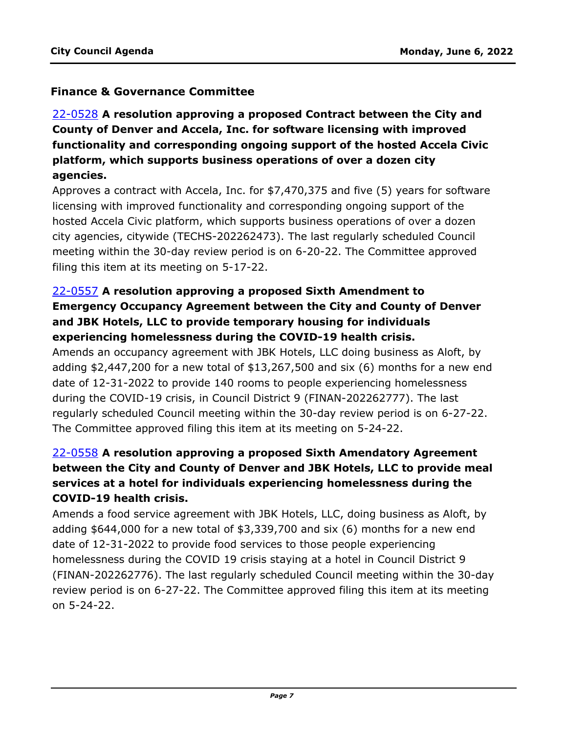#### **Finance & Governance Committee**

# 22-0528 **A resolution approving a proposed Contract between the City and County of Denver and Accela, Inc. for software licensing with improved functionality and corresponding ongoing support of the hosted Accela Civic platform, which supports business operations of over a dozen city agencies.**

[Approves a contract with Accela, Inc. for \\$7,470,375 and five \(5\) years for software](http://denver.legistar.com/gateway.aspx?m=l&id=/matter.aspx?key=21595)  licensing with improved functionality and corresponding ongoing support of the hosted Accela Civic platform, which supports business operations of over a dozen city agencies, citywide (TECHS-202262473). The last regularly scheduled Council meeting within the 30-day review period is on 6-20-22. The Committee approved filing this item at its meeting on 5-17-22.

## 22-0557 **A resolution approving a proposed Sixth Amendment to Emergency Occupancy Agreement between the City and County of Denver and JBK Hotels, LLC to provide temporary housing for individuals experiencing homelessness during the COVID-19 health crisis.**

Amends an occupancy agreement with JBK Hotels, LLC doing business as Aloft, by [adding \\$2,447,200 for a new total of \\$13,267,500 and six \(6\) months for a new end](http://denver.legistar.com/gateway.aspx?m=l&id=/matter.aspx?key=21624)  date of 12-31-2022 to provide 140 rooms to people experiencing homelessness during the COVID-19 crisis, in Council District 9 (FINAN-202262777). The last regularly scheduled Council meeting within the 30-day review period is on 6-27-22. The Committee approved filing this item at its meeting on 5-24-22.

## 22-0558 **A resolution approving a proposed Sixth Amendatory Agreement between the City and County of Denver and JBK Hotels, LLC to provide meal services at a hotel for individuals experiencing homelessness during the COVID-19 health crisis.**

Amends a food service agreement with JBK Hotels, LLC, doing business as Aloft, by adding \$644,000 for a new total of \$3,339,700 and six (6) months for a new end date of 12-31-2022 to provide food services to those people experiencing homelessness during the COVID 19 crisis staying at a hotel in Council District 9 [\(FINAN-202262776\). The last regularly scheduled Council meeting within the 30-day](http://denver.legistar.com/gateway.aspx?m=l&id=/matter.aspx?key=21625)  review period is on 6-27-22. The Committee approved filing this item at its meeting on 5-24-22.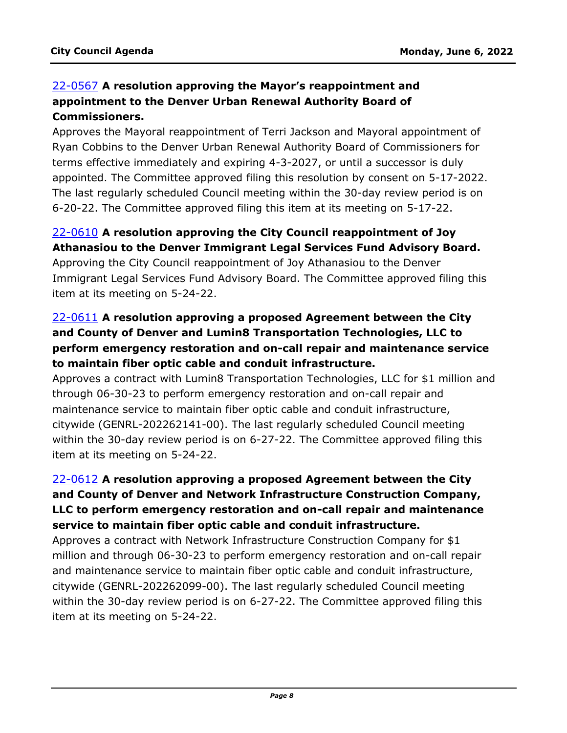## 22-0567 **A resolution approving the Mayor's reappointment and appointment to the Denver Urban Renewal Authority Board of Commissioners.**

Approves the Mayoral reappointment of Terri Jackson and Mayoral appointment of Ryan Cobbins to the Denver Urban Renewal Authority Board of Commissioners for terms effective immediately and expiring 4-3-2027, or until a successor is duly [appointed. The Committee approved filing this resolution by consent on 5-17-2022.](http://denver.legistar.com/gateway.aspx?m=l&id=/matter.aspx?key=21634)  The last regularly scheduled Council meeting within the 30-day review period is on 6-20-22. The Committee approved filing this item at its meeting on 5-17-22.

## 22-0610 **A resolution approving the City Council reappointment of Joy Athanasiou to the Denver Immigrant Legal Services Fund Advisory Board.**

Approving the City Council reappointment of Joy Athanasiou to the Denver [Immigrant Legal Services Fund Advisory Board. The Committee approved filing this](http://denver.legistar.com/gateway.aspx?m=l&id=/matter.aspx?key=21677)  item at its meeting on 5-24-22.

## 22-0611 **A resolution approving a proposed Agreement between the City and County of Denver and Lumin8 Transportation Technologies, LLC to perform emergency restoration and on-call repair and maintenance service to maintain fiber optic cable and conduit infrastructure.**

[Approves a contract with Lumin8 Transportation Technologies, LLC for \\$1 million and](http://denver.legistar.com/gateway.aspx?m=l&id=/matter.aspx?key=21678)  through 06-30-23 to perform emergency restoration and on-call repair and maintenance service to maintain fiber optic cable and conduit infrastructure, citywide (GENRL-202262141-00). The last regularly scheduled Council meeting within the 30-day review period is on 6-27-22. The Committee approved filing this item at its meeting on 5-24-22.

## 22-0612 **A resolution approving a proposed Agreement between the City and County of Denver and Network Infrastructure Construction Company, [LLC to perform emergency restoration and on-call repair and maintenance](http://denver.legistar.com/gateway.aspx?m=l&id=/matter.aspx?key=21679)  service to maintain fiber optic cable and conduit infrastructure.**

Approves a contract with Network Infrastructure Construction Company for \$1 million and through 06-30-23 to perform emergency restoration and on-call repair and maintenance service to maintain fiber optic cable and conduit infrastructure, citywide (GENRL-202262099-00). The last regularly scheduled Council meeting within the 30-day review period is on 6-27-22. The Committee approved filing this item at its meeting on 5-24-22.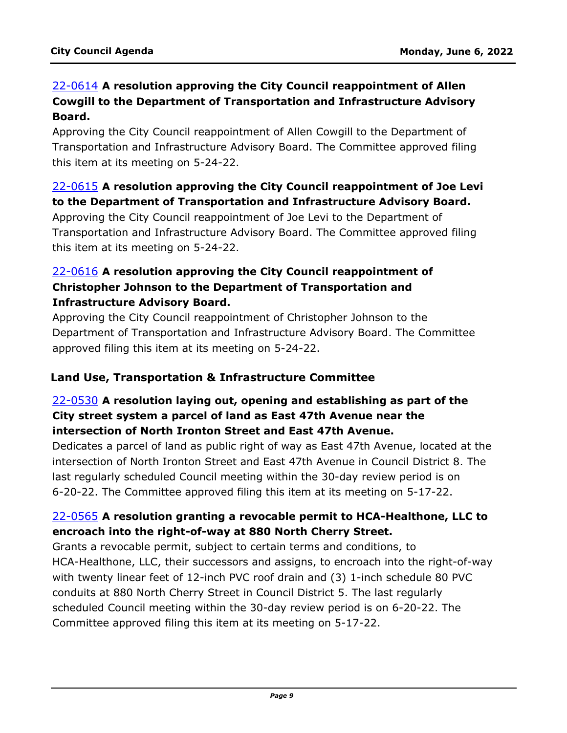## 22-0614 **A resolution approving the City Council reappointment of Allen Cowgill to the Department of Transportation and Infrastructure Advisory Board.**

Approving the City Council reappointment of Allen Cowgill to the Department of [Transportation and Infrastructure Advisory Board. The Committee approved filing](http://denver.legistar.com/gateway.aspx?m=l&id=/matter.aspx?key=21681)  this item at its meeting on 5-24-22.

## 22-0615 **A resolution approving the City Council reappointment of Joe Levi to the Department of Transportation and Infrastructure Advisory Board.**

Approving the City Council reappointment of Joe Levi to the Department of [Transportation and Infrastructure Advisory Board. The Committee approved filing](http://denver.legistar.com/gateway.aspx?m=l&id=/matter.aspx?key=21682)  this item at its meeting on 5-24-22.

### 22-0616 **A resolution approving the City Council reappointment of Christopher Johnson to the Department of Transportation and Infrastructure Advisory Board.**

Approving the City Council reappointment of Christopher Johnson to the [Department of Transportation and Infrastructure Advisory Board. The Committee](http://denver.legistar.com/gateway.aspx?m=l&id=/matter.aspx?key=21683)  approved filing this item at its meeting on 5-24-22.

#### **Land Use, Transportation & Infrastructure Committee**

## 22-0530 **A resolution laying out, opening and establishing as part of the City street system a parcel of land as East 47th Avenue near the intersection of North Ironton Street and East 47th Avenue.**

[Dedicates a parcel of land as public right of way as East 47th Avenue, located at the](http://denver.legistar.com/gateway.aspx?m=l&id=/matter.aspx?key=21597)  intersection of North Ironton Street and East 47th Avenue in Council District 8. The last regularly scheduled Council meeting within the 30-day review period is on 6-20-22. The Committee approved filing this item at its meeting on 5-17-22.

## 22-0565 **A resolution granting a revocable permit to HCA-Healthone, LLC to encroach into the right-of-way at 880 North Cherry Street.**

Grants a revocable permit, subject to certain terms and conditions, to [HCA-Healthone, LLC, their successors and assigns, to encroach into the right-of-way](http://denver.legistar.com/gateway.aspx?m=l&id=/matter.aspx?key=21632)  with twenty linear feet of 12-inch PVC roof drain and (3) 1-inch schedule 80 PVC conduits at 880 North Cherry Street in Council District 5. The last regularly scheduled Council meeting within the 30-day review period is on 6-20-22. The Committee approved filing this item at its meeting on 5-17-22.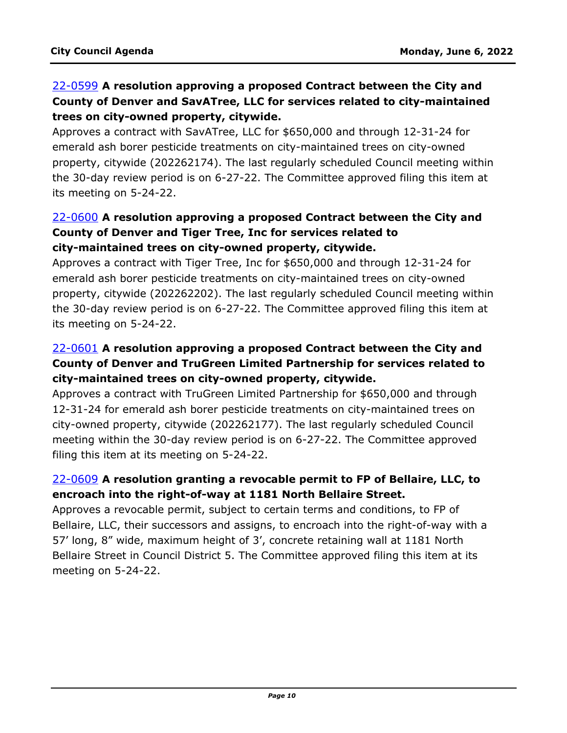## 22-0599 **A resolution approving a proposed Contract between the City and County of Denver and SavATree, LLC for services related to city-maintained trees on city-owned property, citywide.**

Approves a contract with SavATree, LLC for \$650,000 and through 12-31-24 for emerald ash borer pesticide treatments on city-maintained trees on city-owned [property, citywide \(202262174\). The last regularly scheduled Council meeting within](http://denver.legistar.com/gateway.aspx?m=l&id=/matter.aspx?key=21666)  the 30-day review period is on 6-27-22. The Committee approved filing this item at its meeting on 5-24-22.

#### 22-0600 **A resolution approving a proposed Contract between the City and County of Denver and Tiger Tree, Inc for services related to city-maintained trees on city-owned property, citywide.**

Approves a contract with Tiger Tree, Inc for \$650,000 and through 12-31-24 for emerald ash borer pesticide treatments on city-maintained trees on city-owned [property, citywide \(202262202\). The last regularly scheduled Council meeting within](http://denver.legistar.com/gateway.aspx?m=l&id=/matter.aspx?key=21667)  the 30-day review period is on 6-27-22. The Committee approved filing this item at its meeting on 5-24-22.

## 22-0601 **A resolution approving a proposed Contract between the City and [County of Denver and TruGreen Limited Partnership for services related to](http://denver.legistar.com/gateway.aspx?m=l&id=/matter.aspx?key=21668)  city-maintained trees on city-owned property, citywide.**

Approves a contract with TruGreen Limited Partnership for \$650,000 and through 12-31-24 for emerald ash borer pesticide treatments on city-maintained trees on city-owned property, citywide (202262177). The last regularly scheduled Council meeting within the 30-day review period is on 6-27-22. The Committee approved filing this item at its meeting on 5-24-22.

## 22-0609 **A resolution granting a revocable permit to FP of Bellaire, LLC, to encroach into the right-of-way at 1181 North Bellaire Street.**

Approves a revocable permit, subject to certain terms and conditions, to FP of [Bellaire, LLC, their successors and assigns, to encroach into the right-of-way with a](http://denver.legistar.com/gateway.aspx?m=l&id=/matter.aspx?key=21676)  57' long, 8" wide, maximum height of 3', concrete retaining wall at 1181 North Bellaire Street in Council District 5. The Committee approved filing this item at its meeting on 5-24-22.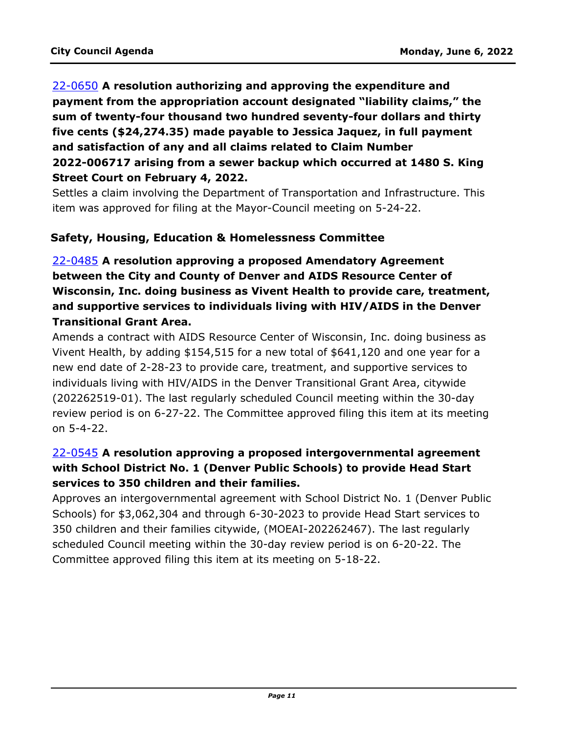# 22-0650 **A resolution authorizing and approving the expenditure and payment from the appropriation account designated "liability claims," the sum of twenty-four thousand two hundred seventy-four dollars and thirty five cents (\$24,274.35) made payable to Jessica Jaquez, in full payment and satisfaction of any and all claims related to Claim Number 2022-006717 arising from a sewer backup which occurred at 1480 S. King Street Court on February 4, 2022.**

[Settles a claim involving the Department of Transportation and Infrastructure. This](http://denver.legistar.com/gateway.aspx?m=l&id=/matter.aspx?key=21717)  item was approved for filing at the Mayor-Council meeting on 5-24-22.

#### **Safety, Housing, Education & Homelessness Committee**

## 22-0485 **A resolution approving a proposed Amendatory Agreement between the City and County of Denver and AIDS Resource Center of [Wisconsin, Inc. doing business as Vivent Health to provide care, treatment,](http://denver.legistar.com/gateway.aspx?m=l&id=/matter.aspx?key=21552)  and supportive services to individuals living with HIV/AIDS in the Denver Transitional Grant Area.**

Amends a contract with AIDS Resource Center of Wisconsin, Inc. doing business as Vivent Health, by adding \$154,515 for a new total of \$641,120 and one year for a new end date of 2-28-23 to provide care, treatment, and supportive services to individuals living with HIV/AIDS in the Denver Transitional Grant Area, citywide (202262519-01). The last regularly scheduled Council meeting within the 30-day review period is on 6-27-22. The Committee approved filing this item at its meeting on 5-4-22.

## 22-0545 **A resolution approving a proposed intergovernmental agreement with School District No. 1 (Denver Public Schools) to provide Head Start services to 350 children and their families.**

[Approves an intergovernmental agreement with School District No. 1 \(Denver Public](http://denver.legistar.com/gateway.aspx?m=l&id=/matter.aspx?key=21612)  Schools) for \$3,062,304 and through 6-30-2023 to provide Head Start services to 350 children and their families citywide, (MOEAI-202262467). The last regularly scheduled Council meeting within the 30-day review period is on 6-20-22. The Committee approved filing this item at its meeting on 5-18-22.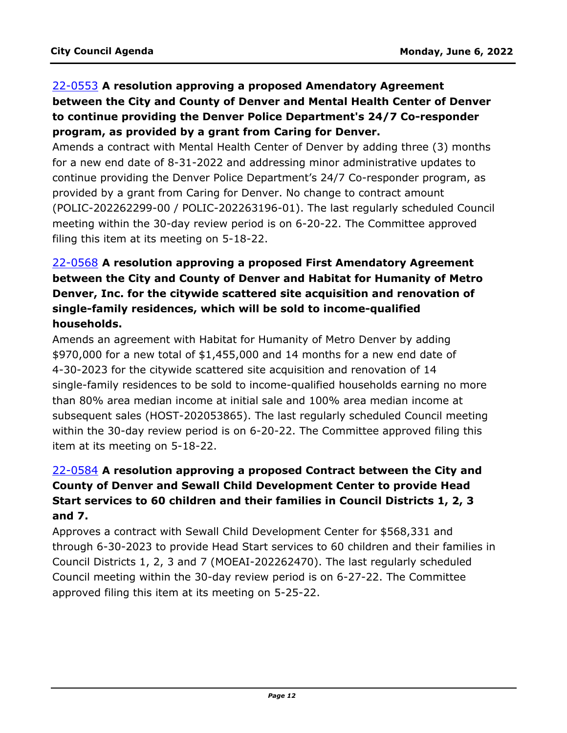# 22-0553 **A resolution approving a proposed Amendatory Agreement between the City and County of Denver and Mental Health Center of Denver to continue providing the Denver Police Department's 24/7 Co-responder program, as provided by a grant from Caring for Denver.**

Amends a contract with Mental Health Center of Denver by adding three (3) months for a new end date of 8-31-2022 and addressing minor administrative updates to continue providing the Denver Police Department's 24/7 Co-responder program, as provided by a grant from Caring for Denver. No change to contract amount [\(POLIC-202262299-00 / POLIC-202263196-01\). The last regularly scheduled Council](http://denver.legistar.com/gateway.aspx?m=l&id=/matter.aspx?key=21620)  meeting within the 30-day review period is on 6-20-22. The Committee approved filing this item at its meeting on 5-18-22.

# 22-0568 **A resolution approving a proposed First Amendatory Agreement between the City and County of Denver and Habitat for Humanity of Metro Denver, Inc. for the citywide scattered site acquisition and renovation of single-family residences, which will be sold to income-qualified households.**

Amends an agreement with Habitat for Humanity of Metro Denver by adding \$970,000 for a new total of \$1,455,000 and 14 months for a new end date of 4-30-2023 for the citywide scattered site acquisition and renovation of 14 single-family residences to be sold to income-qualified households earning no more than 80% area median income at initial sale and 100% area median income at [subsequent sales \(HOST-202053865\). The last regularly scheduled Council meeting](http://denver.legistar.com/gateway.aspx?m=l&id=/matter.aspx?key=21635)  within the 30-day review period is on 6-20-22. The Committee approved filing this item at its meeting on 5-18-22.

## 22-0584 **A resolution approving a proposed Contract between the City and County of Denver and Sewall Child Development Center to provide Head Start services to 60 children and their families in Council Districts 1, 2, 3 and 7.**

Approves a contract with Sewall Child Development Center for \$568,331 and [through 6-30-2023 to provide Head Start services to 60 children and their families in](http://denver.legistar.com/gateway.aspx?m=l&id=/matter.aspx?key=21651)  Council Districts 1, 2, 3 and 7 (MOEAI-202262470). The last regularly scheduled Council meeting within the 30-day review period is on 6-27-22. The Committee approved filing this item at its meeting on 5-25-22.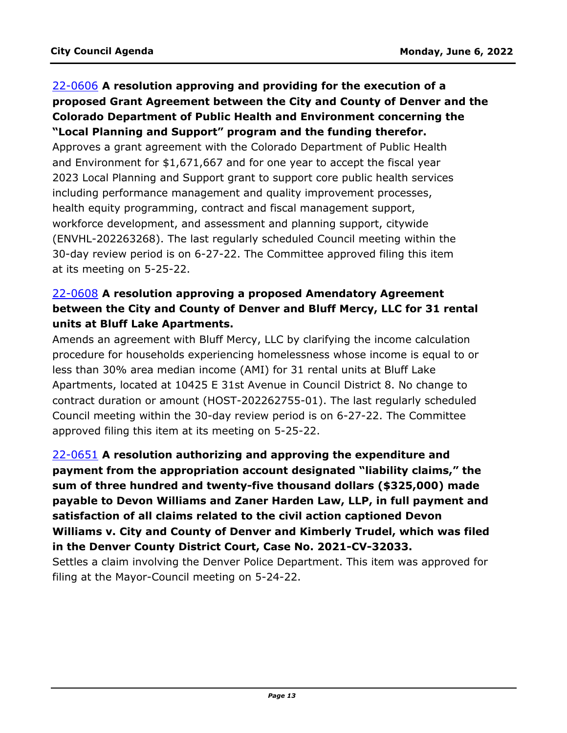# 22-0606 **A resolution approving and providing for the execution of a [proposed Grant Agreement between the City and County of Denver and the](http://denver.legistar.com/gateway.aspx?m=l&id=/matter.aspx?key=21673)  Colorado Department of Public Health and Environment concerning the "Local Planning and Support" program and the funding therefor.** Approves a grant agreement with the Colorado Department of Public Health

and Environment for \$1,671,667 and for one year to accept the fiscal year 2023 Local Planning and Support grant to support core public health services including performance management and quality improvement processes, health equity programming, contract and fiscal management support, workforce development, and assessment and planning support, citywide (ENVHL-202263268). The last regularly scheduled Council meeting within the 30-day review period is on 6-27-22. The Committee approved filing this item at its meeting on 5-25-22.

## 22-0608 **A resolution approving a proposed Amendatory Agreement between the City and County of Denver and Bluff Mercy, LLC for 31 rental units at Bluff Lake Apartments.**

Amends an agreement with Bluff Mercy, LLC by clarifying the income calculation [procedure for households experiencing homelessness whose income is equal to or](http://denver.legistar.com/gateway.aspx?m=l&id=/matter.aspx?key=21675)  less than 30% area median income (AMI) for 31 rental units at Bluff Lake Apartments, located at 10425 E 31st Avenue in Council District 8. No change to contract duration or amount (HOST-202262755-01). The last regularly scheduled Council meeting within the 30-day review period is on 6-27-22. The Committee approved filing this item at its meeting on 5-25-22.

22-0651 **A resolution authorizing and approving the expenditure and payment from the appropriation account designated "liability claims," the sum of three hundred and twenty-five thousand dollars (\$325,000) made payable to Devon Williams and Zaner Harden Law, LLP, in full payment and satisfaction of all claims related to the civil action captioned Devon [Williams v. City and County of Denver and Kimberly Trudel, which was filed](http://denver.legistar.com/gateway.aspx?m=l&id=/matter.aspx?key=21718)  in the Denver County District Court, Case No. 2021-CV-32033.**

Settles a claim involving the Denver Police Department. This item was approved for filing at the Mayor-Council meeting on 5-24-22.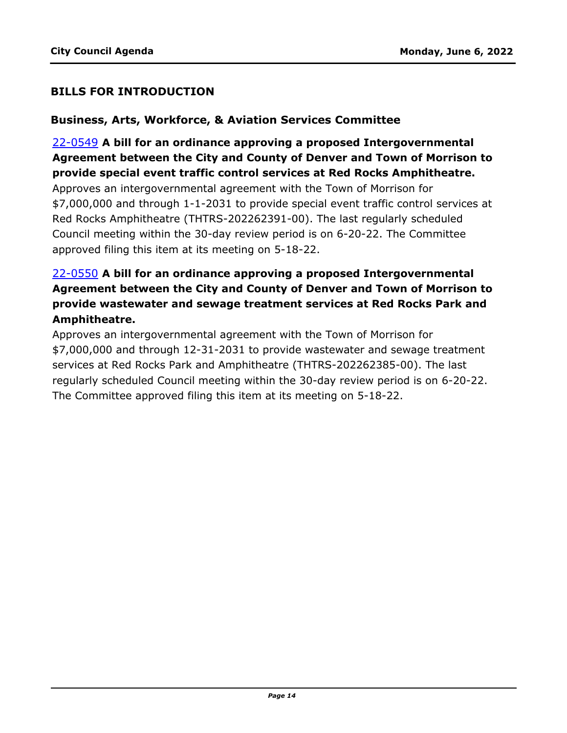#### **BILLS FOR INTRODUCTION**

#### **Business, Arts, Workforce, & Aviation Services Committee**

22-0549 **A bill for an ordinance approving a proposed Intergovernmental [Agreement between the City and County of Denver and Town of Morrison to](http://denver.legistar.com/gateway.aspx?m=l&id=/matter.aspx?key=21616)  provide special event traffic control services at Red Rocks Amphitheatre.** Approves an intergovernmental agreement with the Town of Morrison for \$7,000,000 and through 1-1-2031 to provide special event traffic control services at Red Rocks Amphitheatre (THTRS-202262391-00). The last regularly scheduled Council meeting within the 30-day review period is on 6-20-22. The Committee approved filing this item at its meeting on 5-18-22.

## 22-0550 **A bill for an ordinance approving a proposed Intergovernmental [Agreement between the City and County of Denver and Town of Morrison to](http://denver.legistar.com/gateway.aspx?m=l&id=/matter.aspx?key=21617)  provide wastewater and sewage treatment services at Red Rocks Park and Amphitheatre.**

Approves an intergovernmental agreement with the Town of Morrison for \$7,000,000 and through 12-31-2031 to provide wastewater and sewage treatment services at Red Rocks Park and Amphitheatre (THTRS-202262385-00). The last regularly scheduled Council meeting within the 30-day review period is on 6-20-22. The Committee approved filing this item at its meeting on 5-18-22.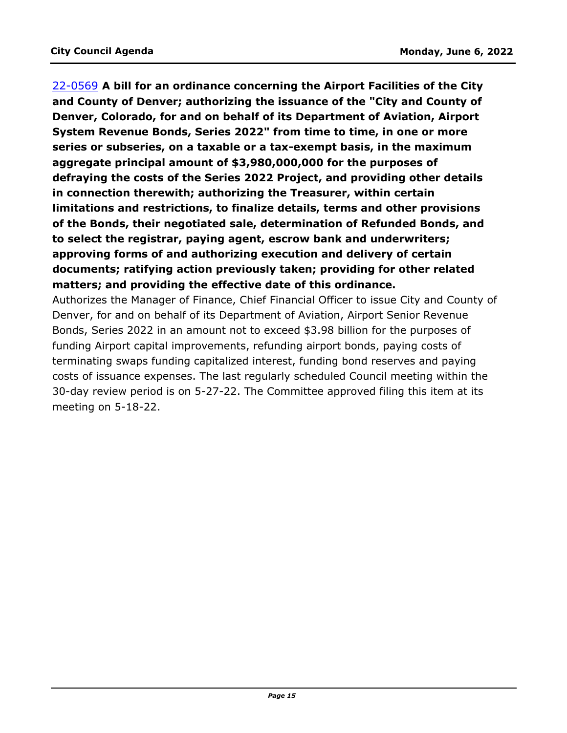22-0569 **A bill for an ordinance concerning the Airport Facilities of the City and County of Denver; authorizing the issuance of the "City and County of Denver, Colorado, for and on behalf of its Department of Aviation, Airport System Revenue Bonds, Series 2022" from time to time, in one or more series or subseries, on a taxable or a tax-exempt basis, in the maximum aggregate principal amount of \$3,980,000,000 for the purposes of defraying the costs of the Series 2022 Project, and providing other details in connection therewith; authorizing the Treasurer, within certain limitations and restrictions, to finalize details, terms and other provisions of the Bonds, their negotiated sale, determination of Refunded Bonds, and to select the registrar, paying agent, escrow bank and underwriters; approving forms of and authorizing execution and delivery of certain documents; ratifying action previously taken; providing for other related matters; and providing the effective date of this ordinance.**

[Authorizes the Manager of Finance, Chief Financial Officer to issue City and County of](http://denver.legistar.com/gateway.aspx?m=l&id=/matter.aspx?key=21636)  Denver, for and on behalf of its Department of Aviation, Airport Senior Revenue Bonds, Series 2022 in an amount not to exceed \$3.98 billion for the purposes of funding Airport capital improvements, refunding airport bonds, paying costs of terminating swaps funding capitalized interest, funding bond reserves and paying costs of issuance expenses. The last regularly scheduled Council meeting within the 30-day review period is on 5-27-22. The Committee approved filing this item at its meeting on 5-18-22.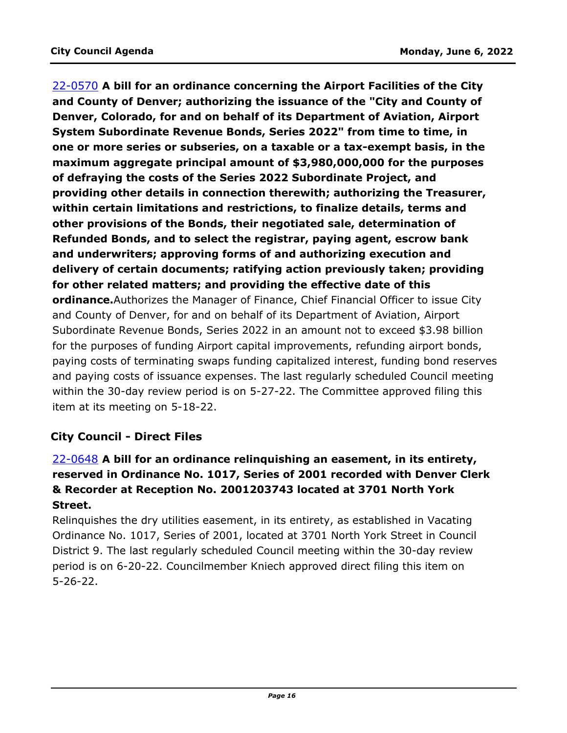22-0570 **A bill for an ordinance concerning the Airport Facilities of the City and County of Denver; authorizing the issuance of the "City and County of Denver, Colorado, for and on behalf of its Department of Aviation, Airport System Subordinate Revenue Bonds, Series 2022" from time to time, in one or more series or subseries, on a taxable or a tax-exempt basis, in the maximum aggregate principal amount of \$3,980,000,000 for the purposes of defraying the costs of the Series 2022 Subordinate Project, and providing other details in connection therewith; authorizing the Treasurer, within certain limitations and restrictions, to finalize details, terms and other provisions of the Bonds, their negotiated sale, determination of Refunded Bonds, and to select the registrar, paying agent, escrow bank and underwriters; approving forms of and authorizing execution and delivery of certain documents; ratifying action previously taken; providing for other related matters; and providing the effective date of this ordinance.**Authorizes the Manager of Finance, Chief Financial Officer to issue City and County of Denver, for and on behalf of its Department of Aviation, Airport Subordinate Revenue Bonds, Series 2022 in an amount not to exceed \$3.98 billion for the purposes of funding Airport capital improvements, refunding airport bonds, [paying costs of terminating swaps funding capitalized interest, funding bond reserves](http://denver.legistar.com/gateway.aspx?m=l&id=/matter.aspx?key=21637)  and paying costs of issuance expenses. The last regularly scheduled Council meeting within the 30-day review period is on 5-27-22. The Committee approved filing this item at its meeting on 5-18-22.

## **City Council - Direct Files**

# 22-0648 **A bill for an ordinance relinquishing an easement, in its entirety, [reserved in Ordinance No. 1017, Series of 2001 recorded with Denver Clerk](http://denver.legistar.com/gateway.aspx?m=l&id=/matter.aspx?key=21715)  & Recorder at Reception No. 2001203743 located at 3701 North York Street.**

Relinquishes the dry utilities easement, in its entirety, as established in Vacating Ordinance No. 1017, Series of 2001, located at 3701 North York Street in Council District 9. The last regularly scheduled Council meeting within the 30-day review period is on 6-20-22. Councilmember Kniech approved direct filing this item on 5-26-22.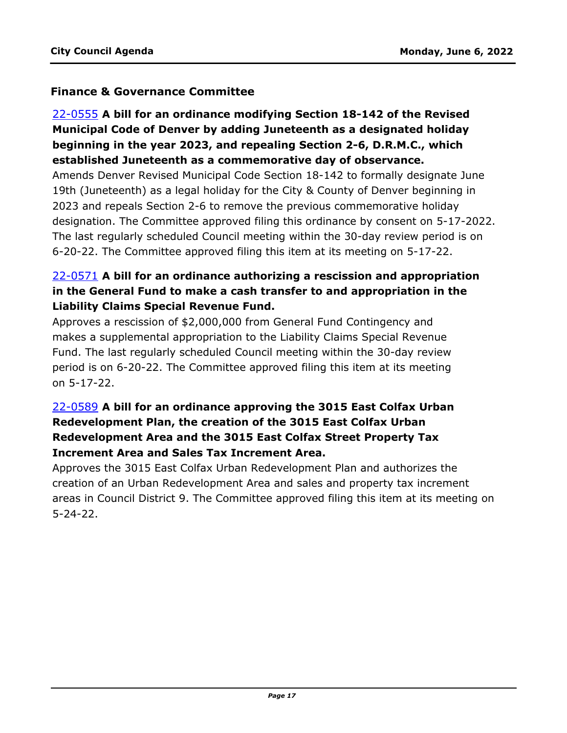#### **Finance & Governance Committee**

# 22-0555 **A bill for an ordinance modifying Section 18-142 of the Revised Municipal Code of Denver by adding Juneteenth as a designated holiday beginning in the year 2023, and repealing Section 2-6, D.R.M.C., which established Juneteenth as a commemorative day of observance.**

Amends Denver Revised Municipal Code Section 18-142 to formally designate June 19th (Juneteenth) as a legal holiday for the City & County of Denver beginning in 2023 and repeals Section 2-6 to remove the previous commemorative holiday [designation. The Committee approved filing this ordinance by consent on 5-17-2022.](http://denver.legistar.com/gateway.aspx?m=l&id=/matter.aspx?key=21622)  The last regularly scheduled Council meeting within the 30-day review period is on 6-20-22. The Committee approved filing this item at its meeting on 5-17-22.

## 22-0571 **A bill for an ordinance authorizing a rescission and appropriation [in the General Fund to make a cash transfer to and appropriation in the](http://denver.legistar.com/gateway.aspx?m=l&id=/matter.aspx?key=21638)  Liability Claims Special Revenue Fund.**

Approves a rescission of \$2,000,000 from General Fund Contingency and makes a supplemental appropriation to the Liability Claims Special Revenue Fund. The last regularly scheduled Council meeting within the 30-day review period is on 6-20-22. The Committee approved filing this item at its meeting on 5-17-22.

## 22-0589 **A bill for an ordinance approving the 3015 East Colfax Urban Redevelopment Plan, the creation of the 3015 East Colfax Urban Redevelopment Area and the 3015 East Colfax Street Property Tax Increment Area and Sales Tax Increment Area.**

Approves the 3015 East Colfax Urban Redevelopment Plan and authorizes the creation of an Urban Redevelopment Area and sales and property tax increment [areas in Council District 9. The Committee approved filing this item at its meeting on](http://denver.legistar.com/gateway.aspx?m=l&id=/matter.aspx?key=21656)  5-24-22.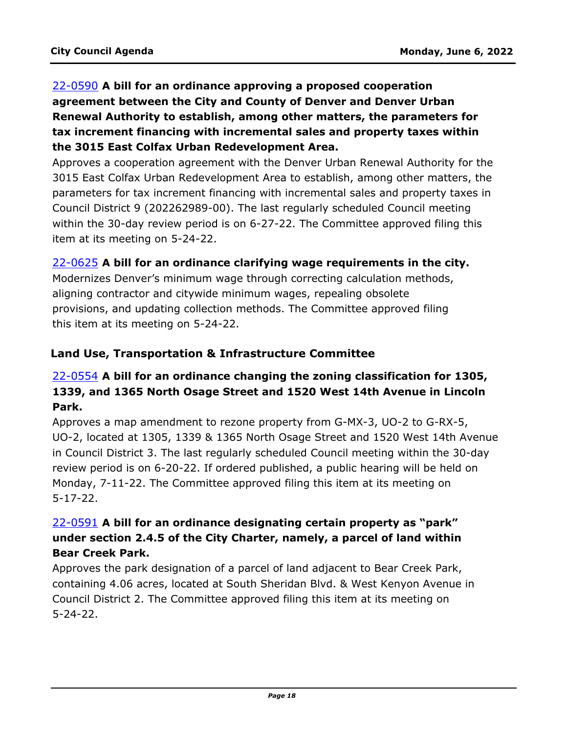# 22-0590 **A bill for an ordinance approving a proposed cooperation agreement between the City and County of Denver and Denver Urban Renewal Authority to establish, among other matters, the parameters for tax increment financing with incremental sales and property taxes within the 3015 East Colfax Urban Redevelopment Area.**

[Approves a cooperation agreement with the Denver Urban Renewal Authority for the](http://denver.legistar.com/gateway.aspx?m=l&id=/matter.aspx?key=21657)  3015 East Colfax Urban Redevelopment Area to establish, among other matters, the parameters for tax increment financing with incremental sales and property taxes in Council District 9 (202262989-00). The last regularly scheduled Council meeting within the 30-day review period is on 6-27-22. The Committee approved filing this item at its meeting on 5-24-22.

#### 22-0625 **A bill for an ordinance clarifying wage requirements in the city.**

[Modernizes Denver's minimum wage through correcting calculation methods,](http://denver.legistar.com/gateway.aspx?m=l&id=/matter.aspx?key=21692)  aligning contractor and citywide minimum wages, repealing obsolete provisions, and updating collection methods. The Committee approved filing this item at its meeting on 5-24-22.

#### **Land Use, Transportation & Infrastructure Committee**

## 22-0554 **A bill for an ordinance changing the zoning classification for 1305, 1339, and 1365 North Osage Street and 1520 West 14th Avenue in Lincoln Park.**

Approves a map amendment to rezone property from G-MX-3, UO-2 to G-RX-5, [UO-2, located at 1305, 1339 & 1365 North Osage Street and 1520 West 14th Avenue](http://denver.legistar.com/gateway.aspx?m=l&id=/matter.aspx?key=21621)  in Council District 3. The last regularly scheduled Council meeting within the 30-day review period is on 6-20-22. If ordered published, a public hearing will be held on Monday, 7-11-22. The Committee approved filing this item at its meeting on 5-17-22.

## 22-0591 **A bill for an ordinance designating certain property as "park" under section 2.4.5 of the City Charter, namely, a parcel of land within Bear Creek Park.**

Approves the park designation of a parcel of land adjacent to Bear Creek Park, [containing 4.06 acres, located at South Sheridan Blvd. & West Kenyon Avenue in](http://denver.legistar.com/gateway.aspx?m=l&id=/matter.aspx?key=21658)  Council District 2. The Committee approved filing this item at its meeting on 5-24-22.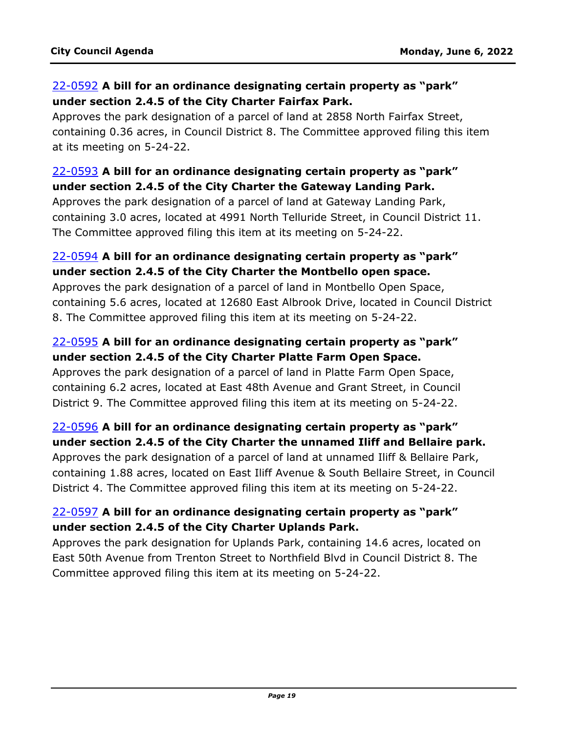#### 22-0592 **A bill for an ordinance designating certain property as "park" under section 2.4.5 of the City Charter Fairfax Park.**

Approves the park designation of a parcel of land at 2858 North Fairfax Street, [containing 0.36 acres, in Council District 8. The Committee approved filing this item](http://denver.legistar.com/gateway.aspx?m=l&id=/matter.aspx?key=21659)  at its meeting on 5-24-22.

#### 22-0593 **A bill for an ordinance designating certain property as "park" under section 2.4.5 of the City Charter the Gateway Landing Park.**

Approves the park designation of a parcel of land at Gateway Landing Park, [containing 3.0 acres, located at 4991 North Telluride Street, in Council District 11.](http://denver.legistar.com/gateway.aspx?m=l&id=/matter.aspx?key=21660)  The Committee approved filing this item at its meeting on 5-24-22.

#### 22-0594 **A bill for an ordinance designating certain property as "park" under section 2.4.5 of the City Charter the Montbello open space.**

Approves the park designation of a parcel of land in Montbello Open Space, [containing 5.6 acres, located at 12680 East Albrook Drive, located in Council District](http://denver.legistar.com/gateway.aspx?m=l&id=/matter.aspx?key=21661)  8. The Committee approved filing this item at its meeting on 5-24-22.

## 22-0595 **A bill for an ordinance designating certain property as "park" under section 2.4.5 of the City Charter Platte Farm Open Space.**

Approves the park designation of a parcel of land in Platte Farm Open Space, [containing 6.2 acres, located at East 48th Avenue and Grant Street, in Council](http://denver.legistar.com/gateway.aspx?m=l&id=/matter.aspx?key=21662)  District 9. The Committee approved filing this item at its meeting on 5-24-22.

## 22-0596 **A bill for an ordinance designating certain property as "park" under section 2.4.5 of the City Charter the unnamed Iliff and Bellaire park.**

Approves the park designation of a parcel of land at unnamed Iliff & Bellaire Park, [containing 1.88 acres, located on East Iliff Avenue & South Bellaire Street, in Council](http://denver.legistar.com/gateway.aspx?m=l&id=/matter.aspx?key=21663)  District 4. The Committee approved filing this item at its meeting on 5-24-22.

## 22-0597 **A bill for an ordinance designating certain property as "park" under section 2.4.5 of the City Charter Uplands Park.**

[Approves the park designation for Uplands Park, containing 14.6 acres, located on](http://denver.legistar.com/gateway.aspx?m=l&id=/matter.aspx?key=21664)  East 50th Avenue from Trenton Street to Northfield Blvd in Council District 8. The Committee approved filing this item at its meeting on 5-24-22.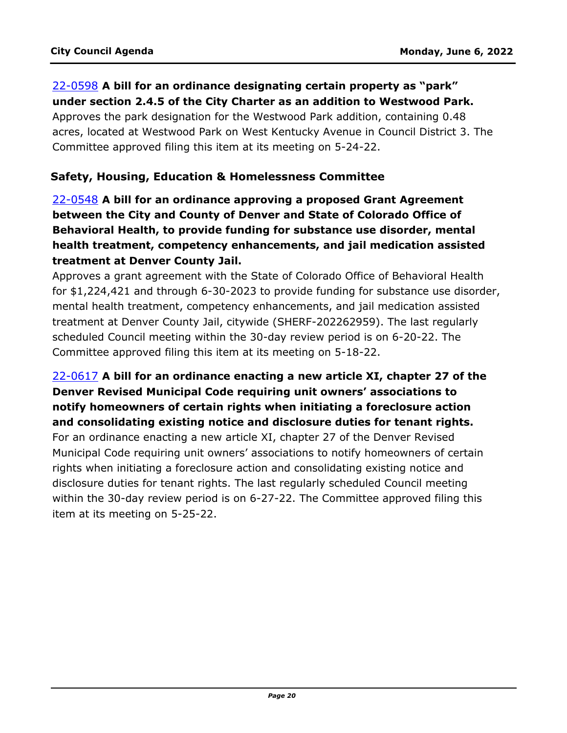### 22-0598 **A bill for an ordinance designating certain property as "park" under section 2.4.5 of the City Charter as an addition to Westwood Park.**

Approves the park designation for the Westwood Park addition, containing 0.48 [acres, located at Westwood Park on West Kentucky Avenue in Council District 3. The](http://denver.legistar.com/gateway.aspx?m=l&id=/matter.aspx?key=21665)  Committee approved filing this item at its meeting on 5-24-22.

#### **Safety, Housing, Education & Homelessness Committee**

22-0548 **A bill for an ordinance approving a proposed Grant Agreement between the City and County of Denver and State of Colorado Office of Behavioral Health, to provide funding for substance use disorder, mental health treatment, competency enhancements, and jail medication assisted treatment at Denver County Jail.**

Approves a grant agreement with the State of Colorado Office of Behavioral Health [for \\$1,224,421 and through 6-30-2023 to provide funding for substance use disorder,](http://denver.legistar.com/gateway.aspx?m=l&id=/matter.aspx?key=21615)  mental health treatment, competency enhancements, and jail medication assisted treatment at Denver County Jail, citywide (SHERF-202262959). The last regularly scheduled Council meeting within the 30-day review period is on 6-20-22. The Committee approved filing this item at its meeting on 5-18-22.

## 22-0617 **A bill for an ordinance enacting a new article XI, chapter 27 of the Denver Revised Municipal Code requiring unit owners' associations to notify homeowners of certain rights when initiating a foreclosure action and consolidating existing notice and disclosure duties for tenant rights.**

For an ordinance enacting a new article XI, chapter 27 of the Denver Revised [Municipal Code requiring unit owners' associations to notify homeowners of certain](http://denver.legistar.com/gateway.aspx?m=l&id=/matter.aspx?key=21684)  rights when initiating a foreclosure action and consolidating existing notice and disclosure duties for tenant rights. The last regularly scheduled Council meeting within the 30-day review period is on 6-27-22. The Committee approved filing this item at its meeting on 5-25-22.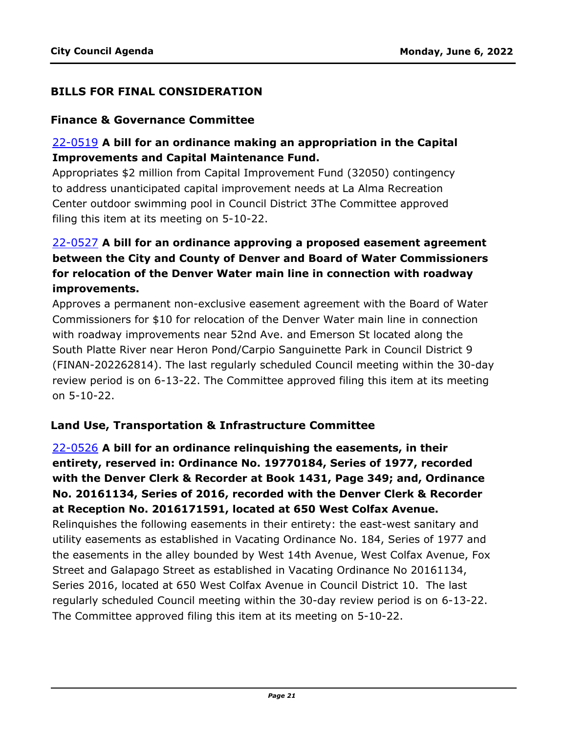#### **BILLS FOR FINAL CONSIDERATION**

#### **Finance & Governance Committee**

#### 22-0519 **A bill for an ordinance making an appropriation in the Capital Improvements and Capital Maintenance Fund.**

[Appropriates \\$2 million from Capital Improvement Fund \(32050\) contingency](http://denver.legistar.com/gateway.aspx?m=l&id=/matter.aspx?key=21586)  to address unanticipated capital improvement needs at La Alma Recreation Center outdoor swimming pool in Council District 3The Committee approved filing this item at its meeting on 5-10-22.

# 22-0527 **A bill for an ordinance approving a proposed easement agreement between the City and County of Denver and Board of Water Commissioners for relocation of the Denver Water main line in connection with roadway improvements.**

Approves a permanent non-exclusive easement agreement with the Board of Water Commissioners for \$10 for relocation of the Denver Water main line in connection with roadway improvements near 52nd Ave. and Emerson St located along the South Platte River near Heron Pond/Carpio Sanguinette Park in Council District 9 [\(FINAN-202262814\). The last regularly scheduled Council meeting within the 30-day](http://denver.legistar.com/gateway.aspx?m=l&id=/matter.aspx?key=21594)  review period is on 6-13-22. The Committee approved filing this item at its meeting on 5-10-22.

#### **Land Use, Transportation & Infrastructure Committee**

22-0526 **A bill for an ordinance relinquishing the easements, in their entirety, reserved in: Ordinance No. 19770184, Series of 1977, recorded with the Denver Clerk & Recorder at Book 1431, Page 349; and, Ordinance No. 20161134, Series of 2016, recorded with the Denver Clerk & Recorder at Reception No. 2016171591, located at 650 West Colfax Avenue.** Relinquishes the following easements in their entirety: the east-west sanitary and utility easements as established in Vacating Ordinance No. 184, Series of 1977 and [the easements in the alley bounded by West 14th Avenue, West Colfax Avenue, Fox](http://denver.legistar.com/gateway.aspx?m=l&id=/matter.aspx?key=21593)  Street and Galapago Street as established in Vacating Ordinance No 20161134, Series 2016, located at 650 West Colfax Avenue in Council District 10. The last regularly scheduled Council meeting within the 30-day review period is on 6-13-22. The Committee approved filing this item at its meeting on 5-10-22.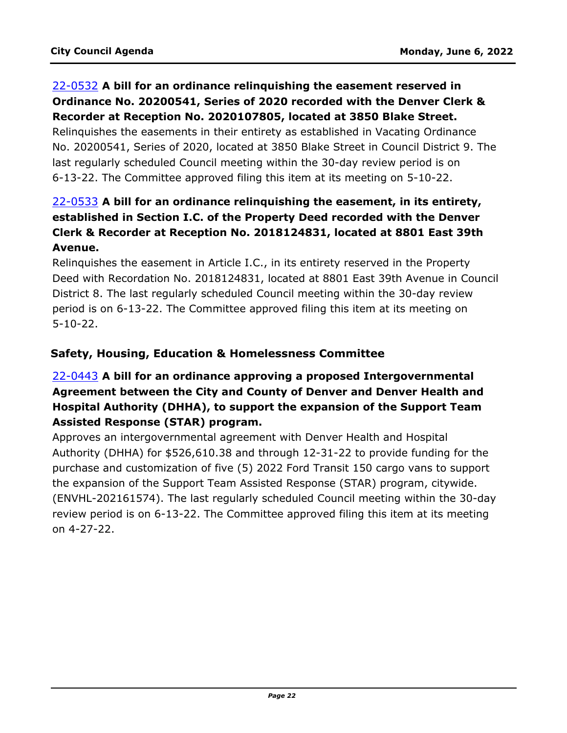#### 22-0532 **A bill for an ordinance relinquishing the easement reserved in Ordinance No. 20200541, Series of 2020 recorded with the Denver Clerk & Recorder at Reception No. 2020107805, located at 3850 Blake Street.**

Relinquishes the easements in their entirety as established in Vacating Ordinance [No. 20200541, Series of 2020, located at 3850 Blake Street in Council District 9. The](http://denver.legistar.com/gateway.aspx?m=l&id=/matter.aspx?key=21599)  last regularly scheduled Council meeting within the 30-day review period is on 6-13-22. The Committee approved filing this item at its meeting on 5-10-22.

# 22-0533 **A bill for an ordinance relinquishing the easement, in its entirety, established in Section I.C. of the Property Deed recorded with the Denver Clerk & Recorder at Reception No. 2018124831, located at 8801 East 39th Avenue.**

Relinquishes the easement in Article I.C., in its entirety reserved in the Property [Deed with Recordation No. 2018124831, located at 8801 East 39th Avenue in Council](http://denver.legistar.com/gateway.aspx?m=l&id=/matter.aspx?key=21600)  District 8. The last regularly scheduled Council meeting within the 30-day review period is on 6-13-22. The Committee approved filing this item at its meeting on 5-10-22.

## **Safety, Housing, Education & Homelessness Committee**

# 22-0443 **A bill for an ordinance approving a proposed Intergovernmental Agreement between the City and County of Denver and Denver Health and Hospital Authority (DHHA), to support the expansion of the Support Team Assisted Response (STAR) program.**

Approves an intergovernmental agreement with Denver Health and Hospital Authority (DHHA) for \$526,610.38 and through 12-31-22 to provide funding for the purchase and customization of five (5) 2022 Ford Transit 150 cargo vans to support the expansion of the Support Team Assisted Response (STAR) program, citywide. [\(ENVHL-202161574\). The last regularly scheduled Council meeting within the 30-day](http://denver.legistar.com/gateway.aspx?m=l&id=/matter.aspx?key=21510)  review period is on 6-13-22. The Committee approved filing this item at its meeting on 4-27-22.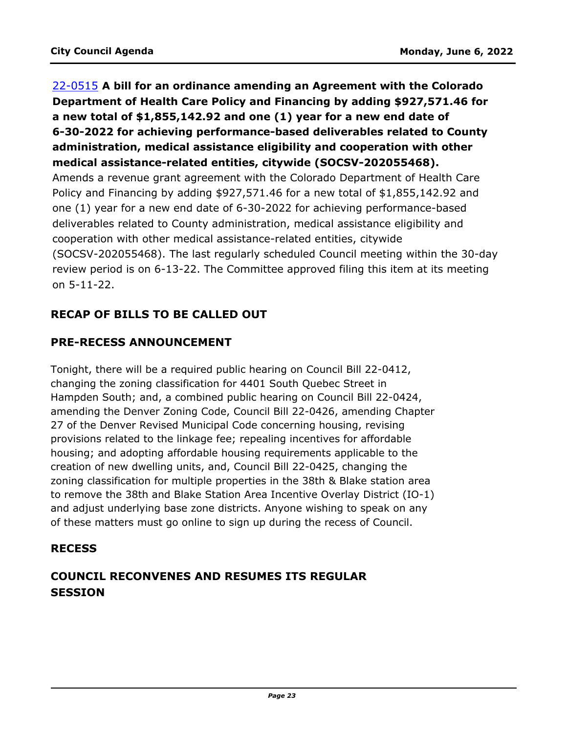## 22-0515 **A bill for an ordinance amending an Agreement with the Colorado Department of Health Care Policy and Financing by adding \$927,571.46 for a new total of \$1,855,142.92 and one (1) year for a new end date of 6-30-2022 for achieving performance-based deliverables related to County administration, medical assistance eligibility and cooperation with other medical assistance-related entities, citywide (SOCSV-202055468).**

Amends a revenue grant agreement with the Colorado Department of Health Care Policy and Financing by adding \$927,571.46 for a new total of \$1,855,142.92 and one (1) year for a new end date of 6-30-2022 for achieving performance-based deliverables related to County administration, medical assistance eligibility and cooperation with other medical assistance-related entities, citywide [\(SOCSV-202055468\). The last regularly scheduled Council meeting within the 30-day](http://denver.legistar.com/gateway.aspx?m=l&id=/matter.aspx?key=21582)  review period is on 6-13-22. The Committee approved filing this item at its meeting on 5-11-22.

## **RECAP OF BILLS TO BE CALLED OUT**

## **PRE-RECESS ANNOUNCEMENT**

Tonight, there will be a required public hearing on Council Bill 22-0412, changing the zoning classification for 4401 South Quebec Street in Hampden South; and, a combined public hearing on Council Bill 22-0424, amending the Denver Zoning Code, Council Bill 22-0426, amending Chapter 27 of the Denver Revised Municipal Code concerning housing, revising provisions related to the linkage fee; repealing incentives for affordable housing; and adopting affordable housing requirements applicable to the creation of new dwelling units, and, Council Bill 22-0425, changing the zoning classification for multiple properties in the 38th & Blake station area to remove the 38th and Blake Station Area Incentive Overlay District (IO-1) and adjust underlying base zone districts. Anyone wishing to speak on any of these matters must go online to sign up during the recess of Council.

## **RECESS**

# **COUNCIL RECONVENES AND RESUMES ITS REGULAR SESSION**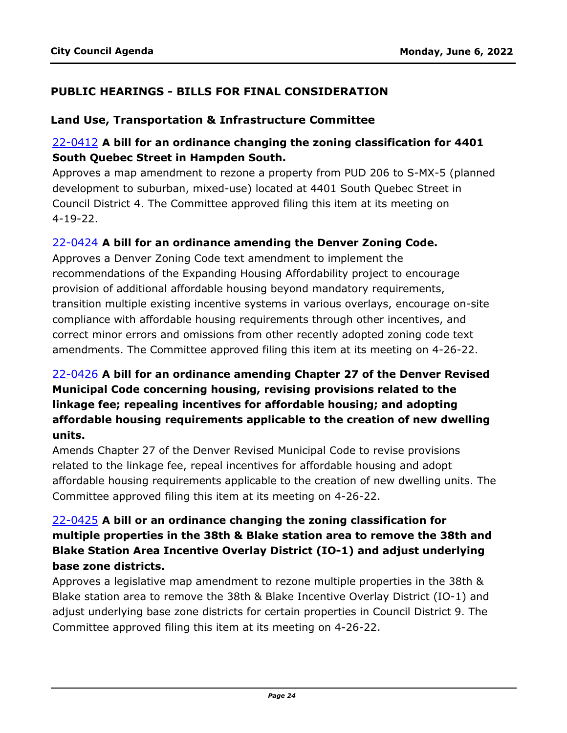#### **PUBLIC HEARINGS - BILLS FOR FINAL CONSIDERATION**

#### **Land Use, Transportation & Infrastructure Committee**

#### 22-0412 **A bill for an ordinance changing the zoning classification for 4401 South Quebec Street in Hampden South.**

[Approves a map amendment to rezone a property from PUD 206 to S-MX-5 \(planned](http://denver.legistar.com/gateway.aspx?m=l&id=/matter.aspx?key=21479)  development to suburban, mixed-use) located at 4401 South Quebec Street in Council District 4. The Committee approved filing this item at its meeting on 4-19-22.

#### 22-0424 **A bill for an ordinance amending the Denver Zoning Code.**

Approves a Denver Zoning Code text amendment to implement the recommendations of the Expanding Housing Affordability project to encourage provision of additional affordable housing beyond mandatory requirements, [transition multiple existing incentive systems in various overlays, encourage on-site](http://denver.legistar.com/gateway.aspx?m=l&id=/matter.aspx?key=21491)  compliance with affordable housing requirements through other incentives, and correct minor errors and omissions from other recently adopted zoning code text amendments. The Committee approved filing this item at its meeting on 4-26-22.

# 22-0426 **A bill for an ordinance amending Chapter 27 of the Denver Revised Municipal Code concerning housing, revising provisions related to the linkage fee; repealing incentives for affordable housing; and adopting affordable housing requirements applicable to the creation of new dwelling units.**

Amends Chapter 27 of the Denver Revised Municipal Code to revise provisions related to the linkage fee, repeal incentives for affordable housing and adopt [affordable housing requirements applicable to the creation of new dwelling units. The](http://denver.legistar.com/gateway.aspx?m=l&id=/matter.aspx?key=21493)  Committee approved filing this item at its meeting on 4-26-22.

## 22-0425 **A bill or an ordinance changing the zoning classification for [multiple properties in the 38th & Blake station area to remove the 38th and](http://denver.legistar.com/gateway.aspx?m=l&id=/matter.aspx?key=21492)  Blake Station Area Incentive Overlay District (IO-1) and adjust underlying base zone districts.**

Approves a legislative map amendment to rezone multiple properties in the 38th & Blake station area to remove the 38th & Blake Incentive Overlay District (IO-1) and adjust underlying base zone districts for certain properties in Council District 9. The Committee approved filing this item at its meeting on 4-26-22.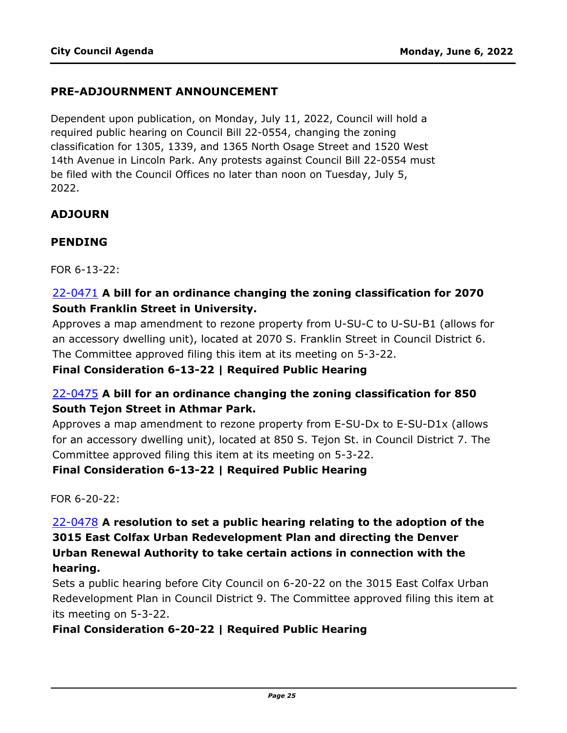#### **PRE-ADJOURNMENT ANNOUNCEMENT**

Dependent upon publication, on Monday, July 11, 2022, Council will hold a required public hearing on Council Bill 22-0554, changing the zoning classification for 1305, 1339, and 1365 North Osage Street and 1520 West 14th Avenue in Lincoln Park. Any protests against Council Bill 22-0554 must be filed with the Council Offices no later than noon on Tuesday, July 5, 2022.

#### **ADJOURN**

#### **PENDING**

FOR 6-13-22:

#### 22-0471 **A bill for an ordinance changing the zoning classification for 2070 South Franklin Street in University.**

[Approves a map amendment to rezone property from U-SU-C to U-SU-B1 \(allows for](http://denver.legistar.com/gateway.aspx?m=l&id=/matter.aspx?key=21538)  an accessory dwelling unit), located at 2070 S. Franklin Street in Council District 6. The Committee approved filing this item at its meeting on 5-3-22.

#### **Final Consideration 6-13-22 | Required Public Hearing**

## 22-0475 **A bill for an ordinance changing the zoning classification for 850 South Tejon Street in Athmar Park.**

Approves a map amendment to rezone property from E-SU-Dx to E-SU-D1x (allows [for an accessory dwelling unit\), located at 850 S. Tejon St. in Council District 7. The](http://denver.legistar.com/gateway.aspx?m=l&id=/matter.aspx?key=21542)  Committee approved filing this item at its meeting on 5-3-22.

#### **Final Consideration 6-13-22 | Required Public Hearing**

FOR 6-20-22:

## 22-0478 **A resolution to set a public hearing relating to the adoption of the 3015 East Colfax Urban Redevelopment Plan and directing the Denver Urban Renewal Authority to take certain actions in connection with the hearing.**

Sets a public hearing before City Council on 6-20-22 on the 3015 East Colfax Urban [Redevelopment Plan in Council District 9. The Committee approved filing this item at](http://denver.legistar.com/gateway.aspx?m=l&id=/matter.aspx?key=21545)  its meeting on 5-3-22.

#### **Final Consideration 6-20-22 | Required Public Hearing**